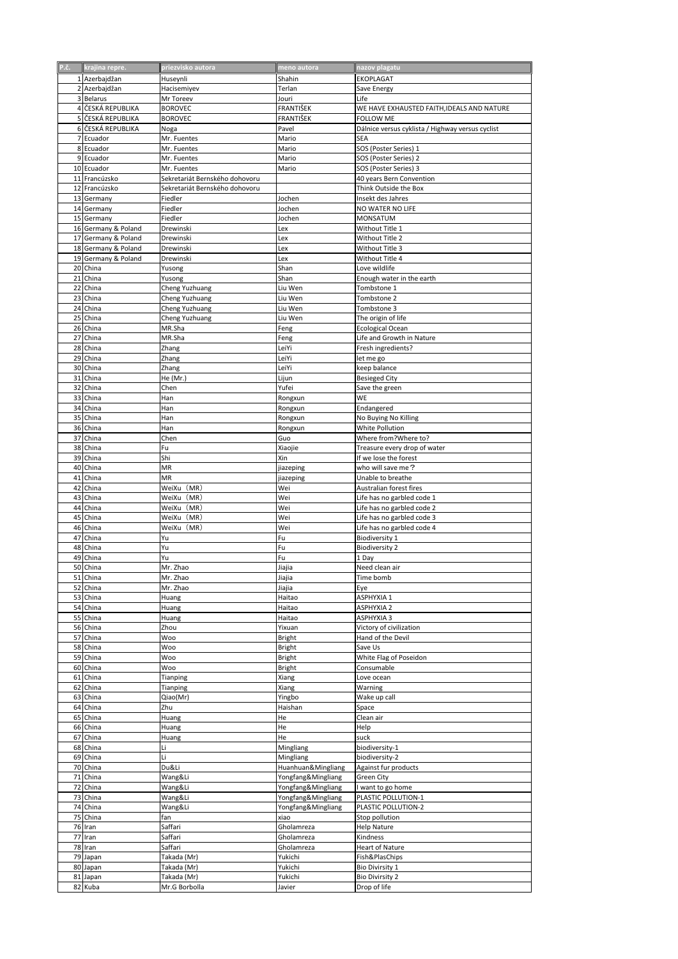| P.č. | krajina repre.      | priezvisko autora              | meno autora        | nazov plagatu                                    |
|------|---------------------|--------------------------------|--------------------|--------------------------------------------------|
|      |                     |                                |                    |                                                  |
|      | 1 Azerbajdžan       | Huseynli                       | Shahin             | EKOPLAGAT                                        |
|      | 2 Azerbajdžan       | Hacisemiyev                    | Terlan             | Save Energy                                      |
|      | 3 Belarus           | Mr Toreev                      | Jouri              | Life                                             |
|      | 4 ČESKÁ REPUBLIKA   | <b>BOROVEC</b>                 | FRANTIŠEK          | WE HAVE EXHAUSTED FAITH, IDEALS AND NATURE       |
|      | 5 ČESKÁ REPUBLIKA   | <b>BOROVEC</b>                 | FRANTIŠEK          | FOLLOW ME                                        |
|      | 6 ČESKÁ REPUBLIKA   | Noga                           | Pavel              | Dálnice versus cyklista / Highway versus cyclist |
|      | 7 Ecuador           | Mr. Fuentes                    | Mario              | SEA                                              |
|      | 8 Ecuador           | Mr. Fuentes                    | Mario              | SOS (Poster Series) 1                            |
|      | 9 Ecuador           | Mr. Fuentes                    | Mario              | SOS (Poster Series) 2                            |
|      | 10 Ecuador          | Mr. Fuentes                    | Mario              | SOS (Poster Series) 3                            |
|      | 11 Francúzsko       | Sekretariát Bernského dohovoru |                    | 40 years Bern Convention                         |
|      | 12 Francúzsko       | Sekretariát Bernského dohovoru |                    | Think Outside the Box                            |
|      | 13 Germany          | Fiedler                        | Jochen             | Insekt des Jahres                                |
|      | 14 Germany          |                                |                    | NO WATER NO LIFE                                 |
|      |                     | Fiedler                        | Jochen             |                                                  |
|      | 15 Germany          | Fiedler                        | Jochen             | MONSATUM                                         |
|      | 16 Germany & Poland | Drewinski                      | Lex                | Without Title 1                                  |
|      | 17 Germany & Poland | Drewinski                      | Lex                | Without Title 2                                  |
|      | 18 Germany & Poland | Drewinski                      | Lex                | Without Title 3                                  |
|      | 19 Germany & Poland | Drewinski                      | Lex                | Without Title 4                                  |
|      | 20 China            | Yusong                         | Shan               | Love wildlife                                    |
|      | 21 China            | Yusong                         | Shan               | Enough water in the earth                        |
|      | 22 China            | Cheng Yuzhuang                 | Liu Wen            | Tombstone 1                                      |
|      | 23 China            | Cheng Yuzhuang                 | Liu Wen            | Tombstone 2                                      |
|      | 24 China            | Cheng Yuzhuang                 | Liu Wen            | Tombstone 3                                      |
|      | 25 China            | Cheng Yuzhuang                 | Liu Wen            | The origin of life                               |
|      |                     |                                |                    |                                                  |
|      | 26 China            | MR.Sha                         | Feng               | Ecological Ocean                                 |
|      | 27 China            | MR.Sha                         | Feng               | Life and Growth in Nature                        |
|      | 28 China            | Zhang                          | LeiYi              | Fresh ingredients?                               |
|      | 29 China            | Zhang                          | LeiYi              | let me go                                        |
|      | 30 China            | Zhang                          | LeiYi              | keep balance                                     |
|      | 31 China            | He (Mr.)                       | Lijun              | <b>Besieged City</b>                             |
|      | 32 China            | Chen                           | Yufei              | Save the green                                   |
|      | 33 China            | Han                            | Rongxun            | WE                                               |
| 34   | China               | Han                            | Rongxun            | Endangered                                       |
| 35   | China               |                                |                    |                                                  |
|      |                     | Han                            | Rongxun            | No Buying No Killing                             |
|      | 36 China            | Han                            | Rongxun            | <b>White Pollution</b>                           |
| 37   | China               | Chen                           | Guo                | Where from?Where to?                             |
|      | 38 China            | Fu                             | Xiaojie            | Treasure every drop of water                     |
|      | 39 China            | Shi                            | Xin                | If we lose the forest                            |
|      | 40 China            | ΜR                             | jiazeping          | who will save me?                                |
|      | 41 China            | MR                             | jiazeping          | Unable to breathe                                |
|      | 42 China            | WeiXu(MR)                      | Wei                | Australian forest fires                          |
|      | 43 China            | WeiXu(MR)                      | Wei                | Life has no garbled code 1                       |
|      | 44 China            | WeiXu(MR)                      | Wei                | Life has no garbled code 2                       |
|      | 45 China            | WeiXu(MR)                      | Wei                | Life has no garbled code 3                       |
|      |                     |                                |                    |                                                  |
|      | 46 China            | WeiXu(MR)                      | Wei                | Life has no garbled code 4                       |
| 47   | China               | Yu                             | Fu                 | <b>Biodiversity 1</b>                            |
| 48   | China               | Yu                             | Fu                 | <b>Biodiversity 2</b>                            |
|      | 49 China            | Yu                             | Fu                 | 1 Day                                            |
|      | 50 China            | Mr. Zhao                       | Jiajia             | Need clean air                                   |
|      | 51 China            | Mr. Zhao                       | Jiajia             | Time bomb                                        |
|      | 52 China            | Mr. Zhao                       | Jiajia             | Eye                                              |
|      | 53 China            | Huang                          | Haitao             | ASPHYXIA 1                                       |
|      | 54 China            | Huang                          | Haitao             | <b>ASPHYXIA 2</b>                                |
|      | 55 China            | Huang                          | Haitao             | ASPHYXIA 3                                       |
|      | 56 China            | Zhou                           | Yixuan             | Victory of civilization                          |
|      |                     |                                |                    |                                                  |
|      | 57 China            | Woo                            | Bright             | Hand of the Devil                                |
|      | 58 China            | Woo                            | Bright             | Save Us                                          |
|      | 59 China            | Woo                            | Bright             | White Flag of Poseidon                           |
|      | 60 China            | Woo                            | Bright             | Consumable                                       |
|      | 61 China            | Tianping                       | Xiang              | Love ocean                                       |
|      | 62 China            | Tianping                       | Xiang              | Warning                                          |
|      | 63 China            | Qiao(Mr)                       | Yingbo             | Wake up call                                     |
|      | 64 China            | Zhu                            | Haishan            | Space                                            |
|      | 65 China            | Huang                          | He                 | Clean air                                        |
|      | 66 China            | Huang                          | He                 | Help                                             |
|      | 67 China            | Huang                          | He                 | suck                                             |
|      |                     |                                |                    |                                                  |
|      | 68 China            | Li                             | Mingliang          | biodiversity-1                                   |
|      | 69 China            | Li                             | Mingliang          | biodiversity-2                                   |
|      | 70 China            | Du&Li                          | Huanhuan&Mingliang | Against fur products                             |
|      | 71 China            | Wang&Li                        | Yongfang&Mingliang | Green City                                       |
|      | 72 China            | Wang&Li                        | Yongfang&Mingliang | I want to go home                                |
|      | 73 China            | Wang&Li                        | Yongfang&Mingliang | PLASTIC POLLUTION-1                              |
|      | 74 China            | Wang&Li                        | Yongfang&Mingliang | PLASTIC POLLUTION-2                              |
|      | 75 China            | fan                            | xiao               | Stop pollution                                   |
|      | 76 Iran             | Saffari                        | Gholamreza         | <b>Help Nature</b>                               |
|      | 77 Iran             | Saffari                        | Gholamreza         | Kindness                                         |
|      |                     |                                |                    |                                                  |
|      | 78 Iran             | Saffari                        | Gholamreza         | Heart of Nature                                  |
|      | 79 Japan            | Takada (Mr)                    | Yukichi            | Fish&PlasChips                                   |
|      | 80 Japan            | Takada (Mr)                    | Yukichi            | Bio Divirsity 1                                  |
|      | 81 Japan            | Takada (Mr)                    | Yukichi            | <b>Bio Divirsity 2</b>                           |
|      | 82 Kuba             | Mr.G Borbolla                  | Javier             | Drop of life                                     |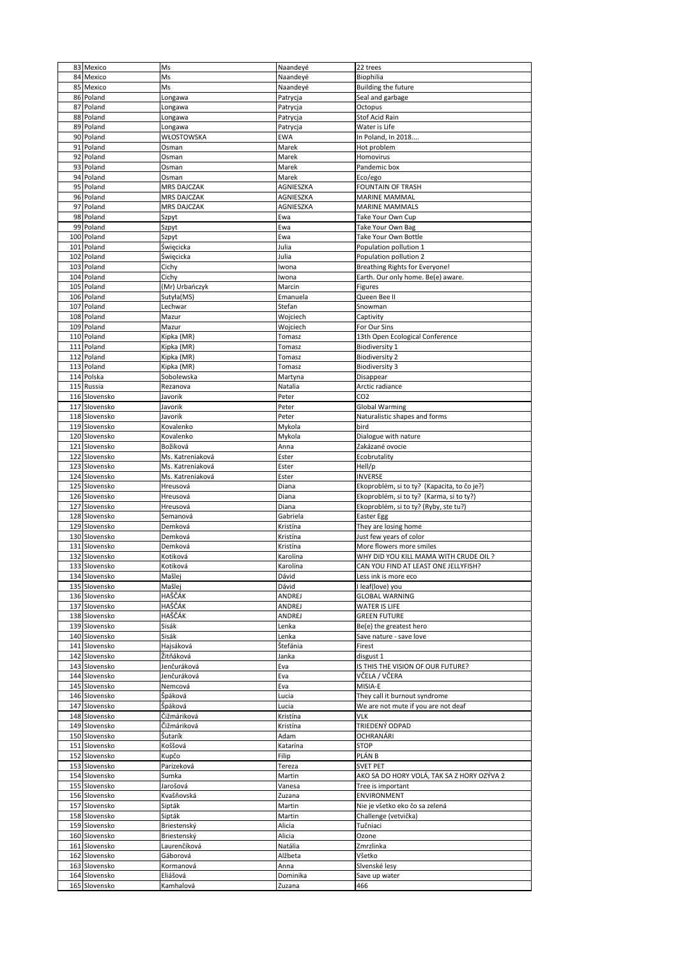|     | 83 Mexico     | Ms                 | Naandeyé  | 22 trees                                    |
|-----|---------------|--------------------|-----------|---------------------------------------------|
|     | 84 Mexico     | Ms                 | Naandeyé  | Biophilia                                   |
|     |               | Ms                 |           |                                             |
|     | 85 Mexico     |                    | Naandeyé  | <b>Building the future</b>                  |
|     | 86 Poland     | Longawa            | Patrycja  | Seal and garbage                            |
| 87  | Poland        | Longawa            | Patrycja  | Octopus                                     |
| 88  | Poland        | Longawa            | Patrycja  | Stof Acid Rain                              |
| 89  | Poland        | Longawa            | Patrycja  | Water is Life                               |
|     | 90 Poland     | WŁOSTOWSKA         | EWA       | In Poland, In 2018                          |
|     |               |                    |           |                                             |
|     | 91 Poland     | Osman              | Marek     | Hot problem                                 |
|     | 92 Poland     | Osman              | Marek     | Homovirus                                   |
|     | 93 Poland     | Osman              | Marek     | Pandemic box                                |
| 94  | Poland        | Osman              | Marek     | Eco/ego                                     |
|     |               |                    |           |                                             |
|     | 95 Poland     | <b>MRS DAJCZAK</b> | AGNIESZKA | <b>FOUNTAIN OF TRASH</b>                    |
| 96  | Poland        | <b>MRS DAJCZAK</b> | AGNIESZKA | MARINE MAMMAL                               |
|     | 97 Poland     | <b>MRS DAJCZAK</b> | AGNIESZKA | <b>MARINE MAMMALS</b>                       |
|     | 98 Poland     | Szpyt              | Ewa       | Take Your Own Cup                           |
|     | 99 Poland     | Szpyt              | Ewa       | Take Your Own Bag                           |
|     |               |                    |           |                                             |
|     | 100 Poland    | Szpyt              | Ewa       | Take Your Own Bottle                        |
|     | 101 Poland    | Święcicka          | Julia     | Population pollution 1                      |
|     | 102 Poland    | Święcicka          | Julia     | Population pollution 2                      |
|     | 103 Poland    | Cichy              | Iwona     | <b>Breathing Rights for Everyone!</b>       |
|     | 104 Poland    | Cichy              | Iwona     | Earth. Our only home. Be(e) aware.          |
|     |               |                    |           |                                             |
|     | 105 Poland    | (Mr) Urbańczyk     | Marcin    | Figures                                     |
|     | 106 Poland    | Sutyła(MS)         | Emanuela  | Queen Bee II                                |
| 107 | Poland        | Lechwar            | Stefan    | Snowman                                     |
|     | 108 Poland    | Mazur              | Wojciech  | Captivity                                   |
|     |               | Mazur              |           |                                             |
| 109 | Poland        |                    | Wojciech  | For Our Sins                                |
|     | 110 Poland    | Kipka (MR)         | Tomasz    | 13th Open Ecological Conference             |
|     | 111 Poland    | Kipka (MR)         | Tomasz    | <b>Biodiversity 1</b>                       |
|     | 112 Poland    | Kipka (MR)         | Tomasz    | <b>Biodiversity 2</b>                       |
|     | 113 Poland    | Kipka (MR)         | Tomasz    | <b>Biodiversity 3</b>                       |
|     |               |                    |           |                                             |
|     | 114 Polska    | Sobolewska         | Martyna   | Disappear                                   |
|     | 115 Russia    | Rezanova           | Natalia   | Arctic radiance                             |
|     | 116 Slovensko | Javorik            | Peter     | CO <sub>2</sub>                             |
|     | 117 Slovensko | Javorik            | Peter     | <b>Global Warming</b>                       |
|     |               |                    |           |                                             |
|     | 118 Slovensko | Javorik            | Peter     | Naturalistic shapes and forms               |
|     | 119 Slovensko | Kovalenko          | Mykola    | bird                                        |
|     | 120 Slovensko | Kovalenko          | Mykola    | Dialogue with nature                        |
|     | 121 Slovensko | Božiková           | Anna      | Zakázané ovocie                             |
|     |               |                    |           |                                             |
|     | 122 Slovensko | Ms. Katreniaková   | Ester     | Ecobrutality                                |
|     | 123 Slovensko | Ms. Katreniaková   | Ester     | Hell/p                                      |
|     | 124 Slovensko | Ms. Katreniaková   | Ester     | INVERSE                                     |
|     | 125 Slovensko | Hreusová           | Diana     | Ekoproblém, si to ty? (Kapacita, to čo je?) |
|     | 126 Slovensko | Hreusová           | Diana     | Ekoproblém, si to ty? (Karma, si to ty?)    |
|     |               |                    |           |                                             |
|     | 127 Slovensko | Hreusová           | Diana     | Ekoproblém, si to ty? (Ryby, ste tu?)       |
|     | 128 Slovensko | Semanová           | Gabriela  | Easter Egg                                  |
|     | 129 Slovensko | Demková            | Kristína  | They are losing home                        |
|     | 130 Slovensko | Demková            | Kristína  | Just few years of color                     |
|     | 131 Slovensko | Demková            | Kristína  | More flowers more smiles                    |
|     |               |                    |           |                                             |
|     | 132 Slovensko | Kotiková           | Karolína  | WHY DID YOU KILL MAMA WITH CRUDE OIL ?      |
|     | 133 Slovensko | Kotiková           | Karolína  | CAN YOU FIND AT LEAST ONE JELLYFISH?        |
|     | 134 Slovensko | Mašlej             | Dávid     | Less ink is more eco                        |
|     | 135 Slovensko | Mašlej             | Dávid     | I leaf(love) you                            |
|     |               |                    |           |                                             |
|     | 136 Slovensko | HAŠČÁK             | ANDREJ    | <b>GLOBAL WARNING</b>                       |
|     | 137 Slovensko | HAŠČÁK             | ANDREJ    | <b>WATER IS LIFE</b>                        |
|     | 138 Slovensko | HAŠČÁK             | ANDREJ    | <b>GREEN FUTURE</b>                         |
|     | 139 Slovensko | Sisák              | Lenka     | Be(e) the greatest hero                     |
|     | 140 Slovensko | Sisák              | Lenka     | Save nature - save love                     |
|     |               |                    |           |                                             |
|     | 141 Slovensko | Hajsáková          | Štefánia  | Firest                                      |
|     |               |                    |           |                                             |
|     | 142 Slovensko | Žitňáková          | Janka     | disgust 1                                   |
|     | 143 Slovensko | Jenčuráková        | Eva       |                                             |
|     |               |                    |           | IS THIS THE VISION OF OUR FUTURE?           |
|     | 144 Slovensko | Jenčuráková        | Eva       | VČELA / VČERA                               |
|     | 145 Slovensko | Nemcová            | Eva       | MISIA-E                                     |
|     | 146 Slovensko | Špáková            | Lucia     | They call it burnout syndrome               |
|     | 147 Slovensko | Špáková            | Lucia     | We are not mute if you are not deaf         |
|     |               |                    |           | <b>VLK</b>                                  |
|     | 148 Slovensko | Čižmáriková        | Kristína  |                                             |
|     | 149 Slovensko | Čižmáriková        | Kristína  | TRIEDENÝ ODPAD                              |
|     | 150 Slovensko | Šutarík            | Adam      | OCHRANÁRI                                   |
|     | 151 Slovensko | Koššová            | Katarína  | STOP                                        |
|     |               |                    |           |                                             |
|     | 152 Slovensko | Kupčo              | Filip     | PLÁN B                                      |
|     | 153 Slovensko | Parizeková         | Tereza    | <b>SVET PET</b>                             |
|     | 154 Slovensko | Sumka              | Martin    | AKO SA DO HORY VOLÁ, TAK SA Z HORY OZÝVA 2  |
|     | 155 Slovensko | Jarošová           | Vanesa    | Tree is important                           |
|     | 156 Slovensko | Kvašňovská         | Zuzana    | ENVIRONMENT                                 |
|     |               |                    |           |                                             |
|     | 157 Slovensko | Sipták             | Martin    | Nie je všetko eko čo sa zelená              |
|     | 158 Slovensko | Sipták             | Martin    | Challenge (vetvička)                        |
|     | 159 Slovensko | Briestenský        | Alicia    | Tučniaci                                    |
|     | 160 Slovensko | Briestenský        | Alicia    | Ozone                                       |
|     |               |                    |           |                                             |
|     | 161 Slovensko | Laurenčíková       | Natália   | Zmrzlinka                                   |
|     | 162 Slovensko | Gáborová           | Alžbeta   | Všetko                                      |
|     | 163 Slovensko | Kormanová          | Anna      | Slvenské lesy                               |
|     | 164 Slovensko | Eliášová           | Dominika  | Save up water                               |
|     | 165 Slovensko | Kamhalová          | Zuzana    | 466                                         |